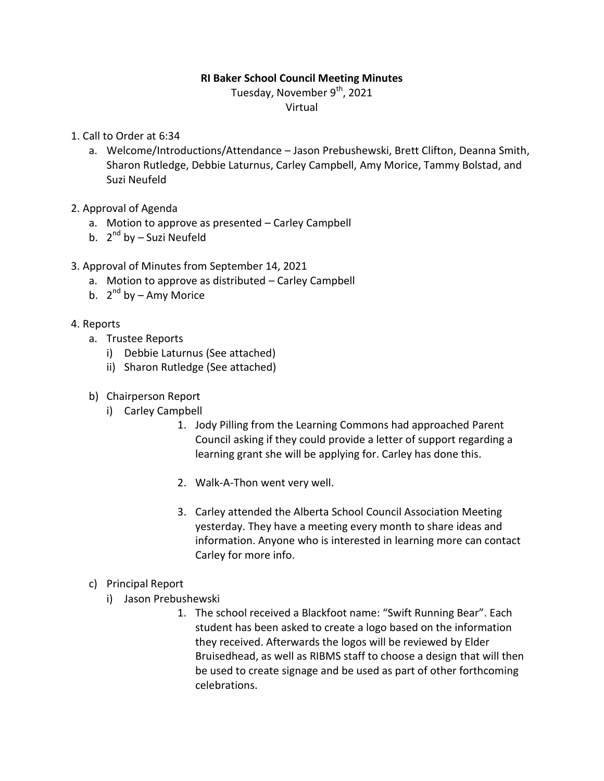### **RI Baker School Council Meeting Minutes**

Tuesday, November 9<sup>th</sup>, 2021

Virtual

- 1. Call to Order at 6:34
	- a. Welcome/Introductions/Attendance Jason Prebushewski, Brett Clifton, Deanna Smith, Sharon Rutledge, Debbie Laturnus, Carley Campbell, Amy Morice, Tammy Bolstad, and Suzi Neufeld
- 2. Approval of Agenda
	- a. Motion to approve as presented Carley Campbell
	- b. 2<sup>nd</sup> by Suzi Neufeld
- 3. Approval of Minutes from September 14, 2021
	- a. Motion to approve as distributed Carley Campbell
	- b. 2<sup>nd</sup> by Amy Morice
- 4. Reports
	- a. Trustee Reports
		- i) Debbie Laturnus (See attached)
		- ii) Sharon Rutledge (See attached)
	- b) Chairperson Report
		- i) Carley Campbell
			- 1. Jody Pilling from the Learning Commons had approached Parent Council asking if they could provide a letter of support regarding a learning grant she will be applying for. Carley has done this.
			- 2. Walk-A-Thon went very well.
			- 3. Carley attended the Alberta School Council Association Meeting yesterday. They have a meeting every month to share ideas and information. Anyone who is interested in learning more can contact Carley for more info.
	- c) Principal Report
		- i) Jason Prebushewski
			- 1. The school received a Blackfoot name: "Swift Running Bear". Each student has been asked to create a logo based on the information they received. Afterwards the logos will be reviewed by Elder Bruisedhead, as well as RIBMS staff to choose a design that will then be used to create signage and be used as part of other forthcoming celebrations.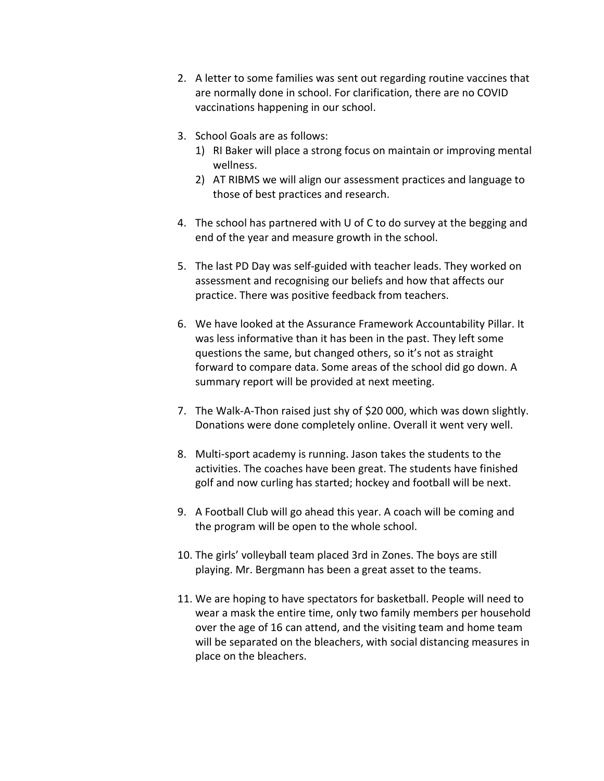- 2. A letter to some families was sent out regarding routine vaccines that are normally done in school. For clarification, there are no COVID vaccinations happening in our school.
- 3. School Goals are as follows:
	- 1) RI Baker will place a strong focus on maintain or improving mental wellness.
	- 2) AT RIBMS we will align our assessment practices and language to those of best practices and research.
- 4. The school has partnered with U of C to do survey at the begging and end of the year and measure growth in the school.
- 5. The last PD Day was self-guided with teacher leads. They worked on assessment and recognising our beliefs and how that affects our practice. There was positive feedback from teachers.
- 6. We have looked at the Assurance Framework Accountability Pillar. It was less informative than it has been in the past. They left some questions the same, but changed others, so it's not as straight forward to compare data. Some areas of the school did go down. A summary report will be provided at next meeting.
- 7. The Walk-A-Thon raised just shy of \$20 000, which was down slightly. Donations were done completely online. Overall it went very well.
- 8. Multi-sport academy is running. Jason takes the students to the activities. The coaches have been great. The students have finished golf and now curling has started; hockey and football will be next.
- 9. A Football Club will go ahead this year. A coach will be coming and the program will be open to the whole school.
- 10. The girls' volleyball team placed 3rd in Zones. The boys are still playing. Mr. Bergmann has been a great asset to the teams.
- 11. We are hoping to have spectators for basketball. People will need to wear a mask the entire time, only two family members per household over the age of 16 can attend, and the visiting team and home team will be separated on the bleachers, with social distancing measures in place on the bleachers.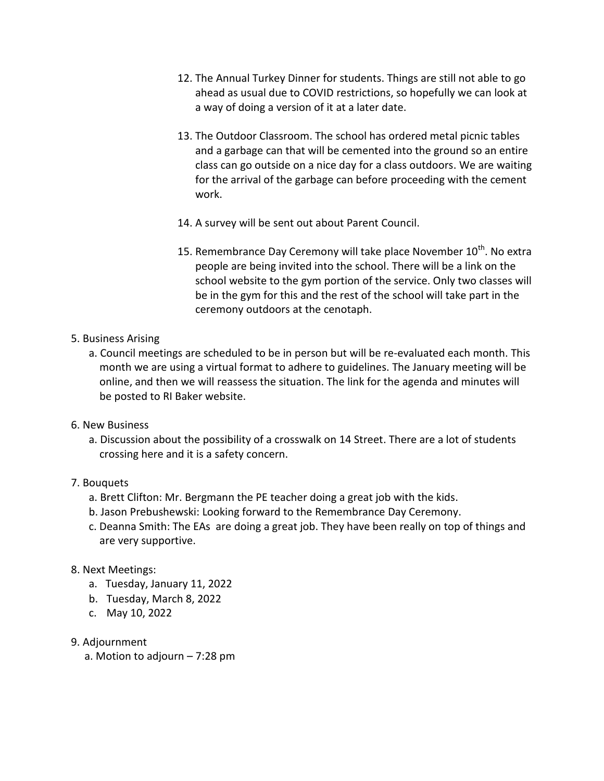- 12. The Annual Turkey Dinner for students. Things are still not able to go ahead as usual due to COVID restrictions, so hopefully we can look at a way of doing a version of it at a later date.
- 13. The Outdoor Classroom. The school has ordered metal picnic tables and a garbage can that will be cemented into the ground so an entire class can go outside on a nice day for a class outdoors. We are waiting for the arrival of the garbage can before proceeding with the cement work.
- 14. A survey will be sent out about Parent Council.
- 15. Remembrance Day Ceremony will take place November 10<sup>th</sup>. No extra people are being invited into the school. There will be a link on the school website to the gym portion of the service. Only two classes will be in the gym for this and the rest of the school will take part in the ceremony outdoors at the cenotaph.
- 5. Business Arising
	- a. Council meetings are scheduled to be in person but will be re-evaluated each month. This month we are using a virtual format to adhere to guidelines. The January meeting will be online, and then we will reassess the situation. The link for the agenda and minutes will be posted to RI Baker website.
- 6. New Business
	- a. Discussion about the possibility of a crosswalk on 14 Street. There are a lot of students crossing here and it is a safety concern.

### 7. Bouquets

- a. Brett Clifton: Mr. Bergmann the PE teacher doing a great job with the kids.
- b. Jason Prebushewski: Looking forward to the Remembrance Day Ceremony.
- c. Deanna Smith: The EAs are doing a great job. They have been really on top of things and are very supportive.

### 8. Next Meetings:

- a. Tuesday, January 11, 2022
- b. Tuesday, March 8, 2022
- c. May 10, 2022
- 9. Adjournment
	- a. Motion to adjourn 7:28 pm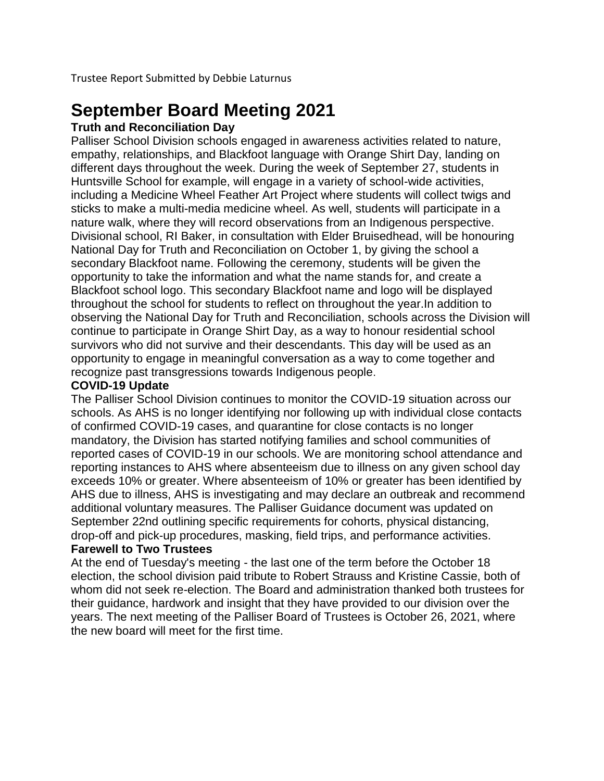Trustee Report Submitted by Debbie Laturnus

# **September Board Meeting 2021**

### **Truth and Reconciliation Day**

Palliser School Division schools engaged in awareness activities related to nature, empathy, relationships, and Blackfoot language with Orange Shirt Day, landing on different days throughout the week. During the week of September 27, students in Huntsville School for example, will engage in a variety of school-wide activities, including a Medicine Wheel Feather Art Project where students will collect twigs and sticks to make a multi-media medicine wheel. As well, students will participate in a nature walk, where they will record observations from an Indigenous perspective. Divisional school, RI Baker, in consultation with Elder Bruisedhead, will be honouring National Day for Truth and Reconciliation on October 1, by giving the school a secondary Blackfoot name. Following the ceremony, students will be given the opportunity to take the information and what the name stands for, and create a Blackfoot school logo. This secondary Blackfoot name and logo will be displayed throughout the school for students to reflect on throughout the year.In addition to observing the National Day for Truth and Reconciliation, schools across the Division will continue to participate in Orange Shirt Day, as a way to honour residential school survivors who did not survive and their descendants. This day will be used as an opportunity to engage in meaningful conversation as a way to come together and recognize past transgressions towards Indigenous people.

### **COVID-19 Update**

The Palliser School Division continues to monitor the COVID-19 situation across our schools. As AHS is no longer identifying nor following up with individual close contacts of confirmed COVID-19 cases, and quarantine for close contacts is no longer mandatory, the Division has started notifying families and school communities of reported cases of COVID-19 in our schools. We are monitoring school attendance and reporting instances to AHS where absenteeism due to illness on any given school day exceeds 10% or greater. Where absenteeism of 10% or greater has been identified by AHS due to illness, AHS is investigating and may declare an outbreak and recommend additional voluntary measures. The Palliser Guidance document was updated on September 22nd outlining specific requirements for cohorts, physical distancing, drop-off and pick-up procedures, masking, field trips, and performance activities.

### **Farewell to Two Trustees**

At the end of Tuesday's meeting - the last one of the term before the October 18 election, the school division paid tribute to Robert Strauss and Kristine Cassie, both of whom did not seek re-election. The Board and administration thanked both trustees for their guidance, hardwork and insight that they have provided to our division over the years. The next meeting of the Palliser Board of Trustees is October 26, 2021, where the new board will meet for the first time.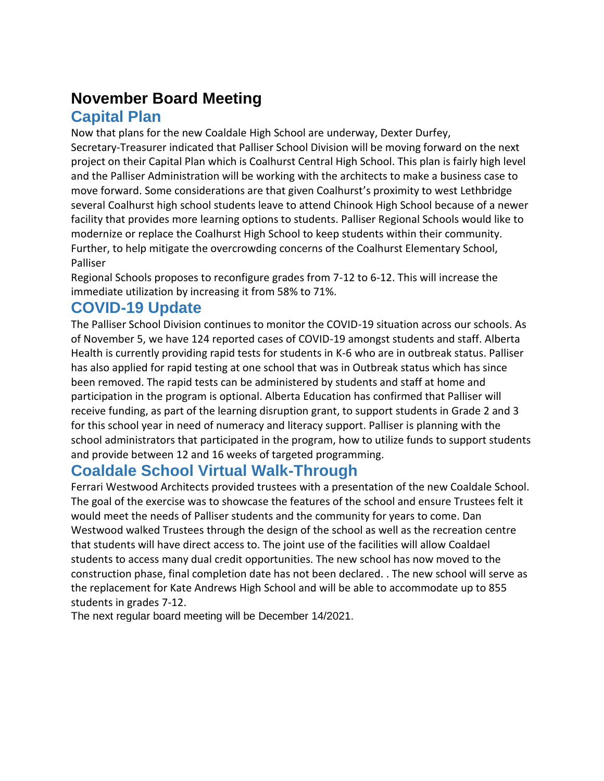# **November Board Meeting**

### **Capital Plan**

Now that plans for the new Coaldale High School are underway, Dexter Durfey, Secretary-Treasurer indicated that Palliser School Division will be moving forward on the next project on their Capital Plan which is Coalhurst Central High School. This plan is fairly high level and the Palliser Administration will be working with the architects to make a business case to move forward. Some considerations are that given Coalhurst's proximity to west Lethbridge several Coalhurst high school students leave to attend Chinook High School because of a newer facility that provides more learning options to students. Palliser Regional Schools would like to modernize or replace the Coalhurst High School to keep students within their community. Further, to help mitigate the overcrowding concerns of the Coalhurst Elementary School, Palliser

Regional Schools proposes to reconfigure grades from 7-12 to 6-12. This will increase the immediate utilization by increasing it from 58% to 71%.

## **COVID-19 Update**

The Palliser School Division continues to monitor the COVID-19 situation across our schools. As of November 5, we have 124 reported cases of COVID-19 amongst students and staff. Alberta Health is currently providing rapid tests for students in K-6 who are in outbreak status. Palliser has also applied for rapid testing at one school that was in Outbreak status which has since been removed. The rapid tests can be administered by students and staff at home and participation in the program is optional. Alberta Education has confirmed that Palliser will receive funding, as part of the learning disruption grant, to support students in Grade 2 and 3 for this school year in need of numeracy and literacy support. Palliser is planning with the school administrators that participated in the program, how to utilize funds to support students and provide between 12 and 16 weeks of targeted programming.

# **Coaldale School Virtual Walk-Through**

Ferrari Westwood Architects provided trustees with a presentation of the new Coaldale School. The goal of the exercise was to showcase the features of the school and ensure Trustees felt it would meet the needs of Palliser students and the community for years to come. Dan Westwood walked Trustees through the design of the school as well as the recreation centre that students will have direct access to. The joint use of the facilities will allow Coaldael students to access many dual credit opportunities. The new school has now moved to the construction phase, final completion date has not been declared. . The new school will serve as the replacement for Kate Andrews High School and will be able to accommodate up to 855 students in grades 7-12.

The next regular board meeting will be December 14/2021.